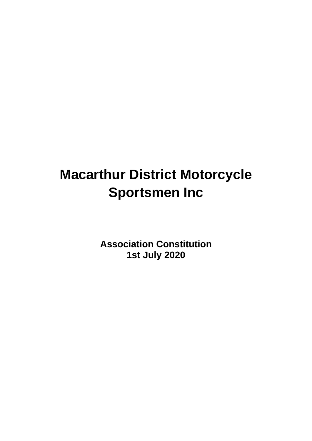# **Macarthur District Motorcycle Sportsmen Inc**

**Association Constitution 1st July 2020**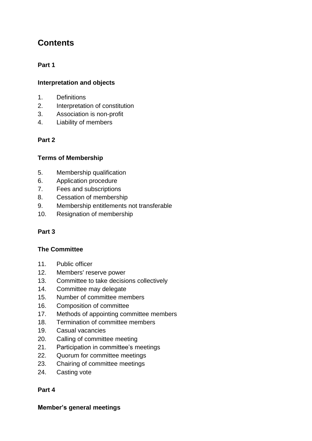# **Contents**

#### **Part 1**

#### **Interpretation and objects**

- 1. Definitions
- 2. Interpretation of constitution
- 3. Association is non-profit
- 4. Liability of members

#### **Part 2**

#### **Terms of Membership**

- 5. Membership qualification
- 6. Application procedure
- 7. Fees and subscriptions
- 8. Cessation of membership
- 9. Membership entitlements not transferable
- 10. Resignation of membership

#### **Part 3**

#### **The Committee**

- 11. Public officer
- 12. Members' reserve power
- 13. Committee to take decisions collectively
- 14. Committee may delegate
- 15. Number of committee members
- 16. Composition of committee
- 17. Methods of appointing committee members
- 18. Termination of committee members
- 19. Casual vacancies
- 20. Calling of committee meeting
- 21. Participation in committee's meetings
- 22. Quorum for committee meetings
- 23. Chairing of committee meetings
- 24. Casting vote

#### **Part 4**

#### **Member's general meetings**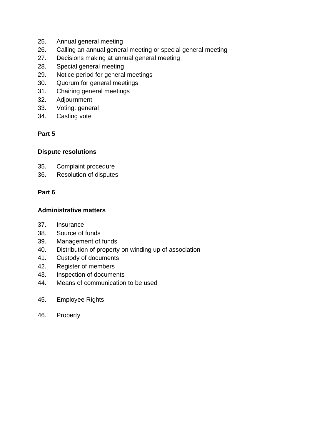- 25. Annual general meeting
- 26. Calling an annual general meeting or special general meeting
- 27. Decisions making at annual general meeting
- 28. Special general meeting
- 29. Notice period for general meetings
- 30. Quorum for general meetings
- 31. Chairing general meetings
- 32. Adjournment
- 33. Voting: general
- 34. Casting vote

#### **Part 5**

#### **Dispute resolutions**

- 35. Complaint procedure
- 36. Resolution of disputes

#### **Part 6**

#### **Administrative matters**

- 37. Insurance
- 38. Source of funds
- 39. Management of funds
- 40. Distribution of property on winding up of association
- 41. Custody of documents
- 42. Register of members
- 43. Inspection of documents
- 44. Means of communication to be used
- 45. Employee Rights
- 46. Property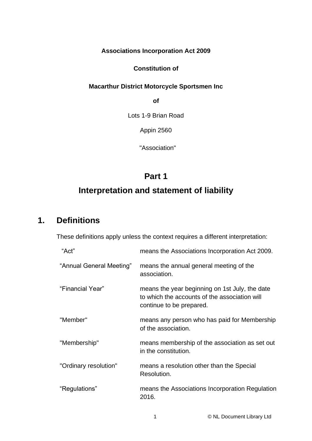**Associations Incorporation Act 2009**

#### **Constitution of**

#### **Macarthur District Motorcycle Sportsmen Inc**

**of**

Lots 1-9 Brian Road

Appin 2560

"Association"

# **Part 1**

# **Interpretation and statement of liability**

#### **1. Definitions**

These definitions apply unless the context requires a different interpretation:

| "Act"                    | means the Associations Incorporation Act 2009.                                                                              |
|--------------------------|-----------------------------------------------------------------------------------------------------------------------------|
| "Annual General Meeting" | means the annual general meeting of the<br>association.                                                                     |
| "Financial Year"         | means the year beginning on 1st July, the date<br>to which the accounts of the association will<br>continue to be prepared. |
| "Member"                 | means any person who has paid for Membership<br>of the association.                                                         |
| "Membership"             | means membership of the association as set out<br>in the constitution.                                                      |
| "Ordinary resolution"    | means a resolution other than the Special<br>Resolution.                                                                    |
| "Regulations"            | means the Associations Incorporation Regulation<br>2016.                                                                    |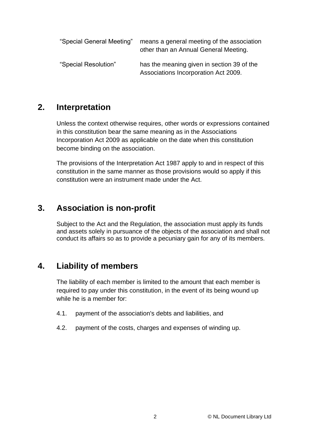| "Special General Meeting" | means a general meeting of the association<br>other than an Annual General Meeting. |
|---------------------------|-------------------------------------------------------------------------------------|
| "Special Resolution"      | has the meaning given in section 39 of the<br>Associations Incorporation Act 2009.  |

#### **2. Interpretation**

Unless the context otherwise requires, other words or expressions contained in this constitution bear the same meaning as in the Associations Incorporation Act 2009 as applicable on the date when this constitution become binding on the association.

The provisions of the Interpretation Act 1987 apply to and in respect of this constitution in the same manner as those provisions would so apply if this constitution were an instrument made under the Act.

### **3. Association is non-profit**

Subject to the Act and the Regulation, the association must apply its funds and assets solely in pursuance of the objects of the association and shall not conduct its affairs so as to provide a pecuniary gain for any of its members.

### **4. Liability of members**

The liability of each member is limited to the amount that each member is required to pay under this constitution, in the event of its being wound up while he is a member for:

- 4.1. payment of the association's debts and liabilities, and
- 4.2. payment of the costs, charges and expenses of winding up.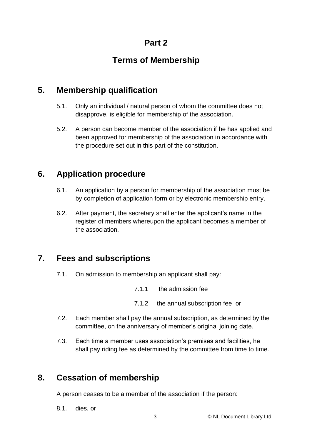# **Part 2**

# **Terms of Membership**

# **5. Membership qualification**

- 5.1. Only an individual / natural person of whom the committee does not disapprove, is eligible for membership of the association.
- 5.2. A person can become member of the association if he has applied and been approved for membership of the association in accordance with the procedure set out in this part of the constitution.

# **6. Application procedure**

- 6.1. An application by a person for membership of the association must be by completion of application form or by electronic membership entry.
- 6.2. After payment, the secretary shall enter the applicant's name in the register of members whereupon the applicant becomes a member of the association.

# **7. Fees and subscriptions**

- 7.1. On admission to membership an applicant shall pay:
	- 7.1.1 the admission fee
	- 7.1.2 the annual subscription fee or
- 7.2. Each member shall pay the annual subscription, as determined by the committee, on the anniversary of member's original joining date.
- 7.3. Each time a member uses association's premises and facilities, he shall pay riding fee as determined by the committee from time to time.

# **8. Cessation of membership**

A person ceases to be a member of the association if the person:

8.1. dies, or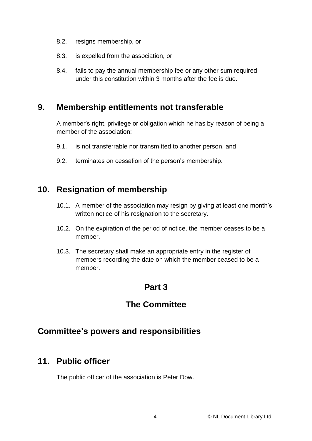- 8.2. resigns membership, or
- 8.3. is expelled from the association, or
- 8.4. fails to pay the annual membership fee or any other sum required under this constitution within 3 months after the fee is due.

#### **9. Membership entitlements not transferable**

A member's right, privilege or obligation which he has by reason of being a member of the association:

- 9.1. is not transferrable nor transmitted to another person, and
- 9.2. terminates on cessation of the person's membership.

# **10. Resignation of membership**

- 10.1. A member of the association may resign by giving at least one month's written notice of his resignation to the secretary.
- 10.2. On the expiration of the period of notice, the member ceases to be a member.
- 10.3. The secretary shall make an appropriate entry in the register of members recording the date on which the member ceased to be a member.

# **Part 3**

# **The Committee**

# **Committee's powers and responsibilities**

### **11. Public officer**

The public officer of the association is Peter Dow.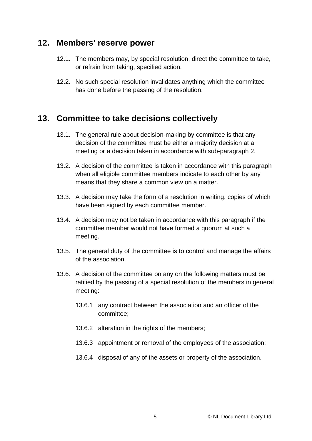#### **12. Members' reserve power**

- 12.1. The members may, by special resolution, direct the committee to take, or refrain from taking, specified action.
- 12.2. No such special resolution invalidates anything which the committee has done before the passing of the resolution.

#### **13. Committee to take decisions collectively**

- 13.1. The general rule about decision-making by committee is that any decision of the committee must be either a majority decision at a meeting or a decision taken in accordance with sub-paragraph 2.
- 13.2. A decision of the committee is taken in accordance with this paragraph when all eligible committee members indicate to each other by any means that they share a common view on a matter.
- 13.3. A decision may take the form of a resolution in writing, copies of which have been signed by each committee member.
- 13.4. A decision may not be taken in accordance with this paragraph if the committee member would not have formed a quorum at such a meeting.
- 13.5. The general duty of the committee is to control and manage the affairs of the association.
- 13.6. A decision of the committee on any on the following matters must be ratified by the passing of a special resolution of the members in general meeting:
	- 13.6.1 any contract between the association and an officer of the committee;
	- 13.6.2 alteration in the rights of the members;
	- 13.6.3 appointment or removal of the employees of the association;
	- 13.6.4 disposal of any of the assets or property of the association.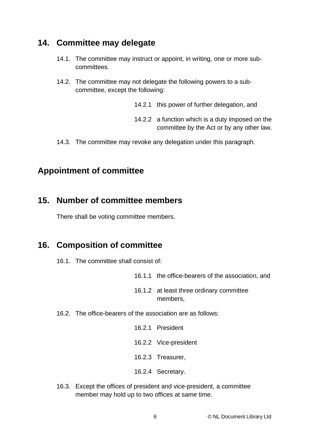#### **14. Committee may delegate**

- 14.1. The committee may instruct or appoint, in writing, one or more subcommittees.
- 14.2. The committee may not delegate the following powers to a subcommittee, except the following:
	- 14.2.1 this power of further delegation, and
	- 14.2.2 a function which is a duty imposed on the committee by the Act or by any other law.
- 14.3. The committee may revoke any delegation under this paragraph.

## **Appointment of committee**

#### **15. Number of committee members**

There shall be voting committee members.

#### **16. Composition of committee**

- 16.1. The committee shall consist of:
	- 16.1.1 the office-bearers of the association, and
	- 16.1.2 at least three ordinary committee members,
- 16.2. The office-bearers of the association are as follows:
	- 16.2.1 President 16.2.2 Vice-president 16.2.3 Treasurer,
	- 16.2.4 Secretary.
- 16.3. Except the offices of president and vice-president, a committee member may hold up to two offices at same time.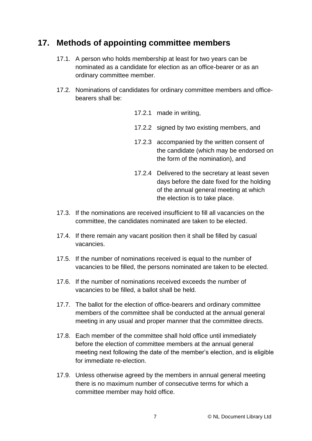### **17. Methods of appointing committee members**

- 17.1. A person who holds membership at least for two years can be nominated as a candidate for election as an office-bearer or as an ordinary committee member.
- 17.2. Nominations of candidates for ordinary committee members and officebearers shall be:
	- 17.2.1 made in writing,
	- 17.2.2 signed by two existing members, and
	- 17.2.3 accompanied by the written consent of the candidate (which may be endorsed on the form of the nomination), and
	- 17.2.4 Delivered to the secretary at least seven days before the date fixed for the holding of the annual general meeting at which the election is to take place.
- 17.3. If the nominations are received insufficient to fill all vacancies on the committee, the candidates nominated are taken to be elected.
- 17.4. If there remain any vacant position then it shall be filled by casual vacancies.
- 17.5. If the number of nominations received is equal to the number of vacancies to be filled, the persons nominated are taken to be elected.
- 17.6. If the number of nominations received exceeds the number of vacancies to be filled, a ballot shall be held.
- 17.7. The ballot for the election of office-bearers and ordinary committee members of the committee shall be conducted at the annual general meeting in any usual and proper manner that the committee directs.
- 17.8. Each member of the committee shall hold office until immediately before the election of committee members at the annual general meeting next following the date of the member's election, and is eligible for immediate re-election.
- 17.9. Unless otherwise agreed by the members in annual general meeting there is no maximum number of consecutive terms for which a committee member may hold office.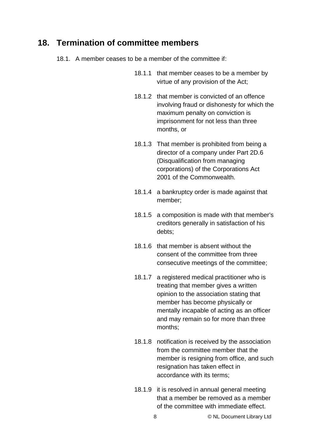#### **18. Termination of committee members**

- 18.1. A member ceases to be a member of the committee if:
	- 18.1.1 that member ceases to be a member by virtue of any provision of the Act;
	- 18.1.2 that member is convicted of an offence involving fraud or dishonesty for which the maximum penalty on conviction is imprisonment for not less than three months, or
	- 18.1.3 That member is prohibited from being a director of a company under Part 2D.6 (Disqualification from managing corporations) of the [Corporations Act](http://www.comlaw.gov.au/)  [2001](http://www.comlaw.gov.au/) of the Commonwealth.
	- 18.1.4 a bankruptcy order is made against that member;
	- 18.1.5 a composition is made with that member's creditors generally in satisfaction of his debts;
	- 18.1.6 that member is absent without the consent of the committee from three consecutive meetings of the committee;
	- 18.1.7 a registered medical practitioner who is treating that member gives a written opinion to the association stating that member has become physically or mentally incapable of acting as an officer and may remain so for more than three months;
	- 18.1.8 notification is received by the association from the committee member that the member is resigning from office, and such resignation has taken effect in accordance with its terms;
	- 18.1.9 it is resolved in annual general meeting that a member be removed as a member of the committee with immediate effect.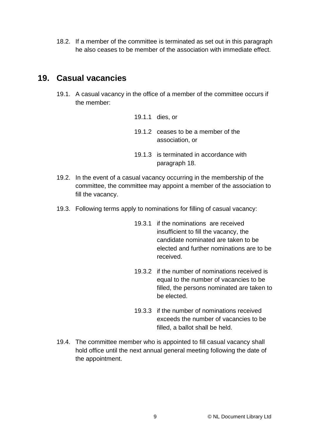18.2. If a member of the committee is terminated as set out in this paragraph he also ceases to be member of the association with immediate effect.

### **19. Casual vacancies**

- 19.1. A casual vacancy in the office of a member of the committee occurs if the member:
	- 19.1.1 dies, or 19.1.2 ceases to be a member of the association, or 19.1.3 is terminated in accordance with
	- paragraph 18.
- 19.2. In the event of a casual vacancy occurring in the membership of the committee, the committee may appoint a member of the association to fill the vacancy.
- 19.3. Following terms apply to nominations for filling of casual vacancy:
	- 19.3.1 if the nominations are received insufficient to fill the vacancy, the candidate nominated are taken to be elected and further nominations are to be received.
	- 19.3.2 if the number of nominations received is equal to the number of vacancies to be filled, the persons nominated are taken to be elected.
	- 19.3.3 if the number of nominations received exceeds the number of vacancies to be filled, a ballot shall be held.
- 19.4. The committee member who is appointed to fill casual vacancy shall hold office until the next annual general meeting following the date of the appointment.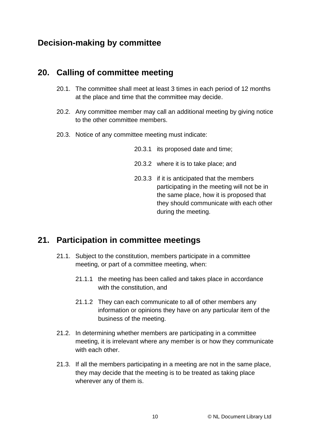# **Decision-making by committee**

#### **20. Calling of committee meeting**

- 20.1. The committee shall meet at least 3 times in each period of 12 months at the place and time that the committee may decide.
- 20.2. Any committee member may call an additional meeting by giving notice to the other committee members.
- 20.3. Notice of any committee meeting must indicate:

|  | 20.3.1 its proposed date and time;                                                                                                                                                                       |
|--|----------------------------------------------------------------------------------------------------------------------------------------------------------------------------------------------------------|
|  | 20.3.2 where it is to take place; and                                                                                                                                                                    |
|  | 20.3.3 if it is anticipated that the members<br>participating in the meeting will not be in<br>the same place, how it is proposed that<br>they should communicate with each other<br>during the meeting. |

### **21. Participation in committee meetings**

- 21.1. Subject to the constitution, members participate in a committee meeting, or part of a committee meeting, when:
	- 21.1.1 the meeting has been called and takes place in accordance with the constitution, and
	- 21.1.2 They can each communicate to all of other members any information or opinions they have on any particular item of the business of the meeting.
- 21.2. In determining whether members are participating in a committee meeting, it is irrelevant where any member is or how they communicate with each other.
- 21.3. If all the members participating in a meeting are not in the same place, they may decide that the meeting is to be treated as taking place wherever any of them is.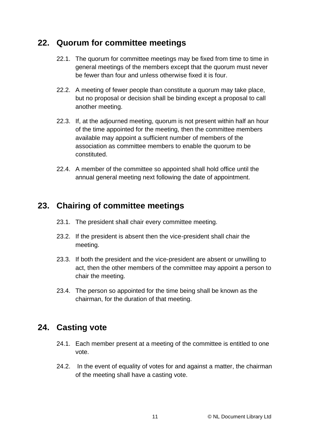#### **22. Quorum for committee meetings**

- 22.1. The quorum for committee meetings may be fixed from time to time in general meetings of the members except that the quorum must never be fewer than four and unless otherwise fixed it is four.
- 22.2. A meeting of fewer people than constitute a quorum may take place, but no proposal or decision shall be binding except a proposal to call another meeting.
- 22.3. If, at the adjourned meeting, quorum is not present within half an hour of the time appointed for the meeting, then the committee members available may appoint a sufficient number of members of the association as committee members to enable the quorum to be constituted.
- 22.4. A member of the committee so appointed shall hold office until the annual general meeting next following the date of appointment.

### **23. Chairing of committee meetings**

- 23.1. The president shall chair every committee meeting.
- 23.2. If the president is absent then the vice-president shall chair the meeting.
- 23.3. If both the president and the vice-president are absent or unwilling to act, then the other members of the committee may appoint a person to chair the meeting.
- 23.4. The person so appointed for the time being shall be known as the chairman, for the duration of that meeting.

#### **24. Casting vote**

- 24.1. Each member present at a meeting of the committee is entitled to one vote.
- 24.2. In the event of equality of votes for and against a matter, the chairman of the meeting shall have a casting vote.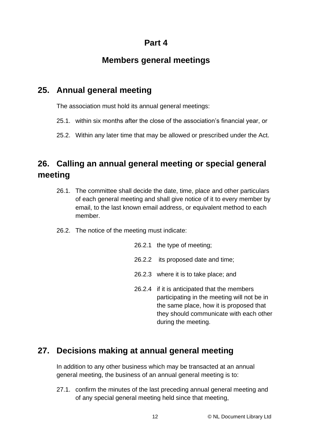### **Part 4**

# **Members general meetings**

# **25. Annual general meeting**

The association must hold its annual general meetings:

- 25.1. within six months after the close of the association's financial year, or
- 25.2. Within any later time that may be allowed or prescribed under the Act.

# **26. Calling an annual general meeting or special general meeting**

- 26.1. The committee shall decide the date, time, place and other particulars of each general meeting and shall give notice of it to every member by email, to the last known email address, or equivalent method to each member.
- 26.2. The notice of the meeting must indicate:
	- 26.2.1 the type of meeting;
	- 26.2.2 its proposed date and time;
	- 26.2.3 where it is to take place; and
	- 26.2.4 if it is anticipated that the members participating in the meeting will not be in the same place, how it is proposed that they should communicate with each other during the meeting.

# **27. Decisions making at annual general meeting**

In addition to any other business which may be transacted at an annual general meeting, the business of an annual general meeting is to:

27.1. confirm the minutes of the last preceding annual general meeting and of any special general meeting held since that meeting,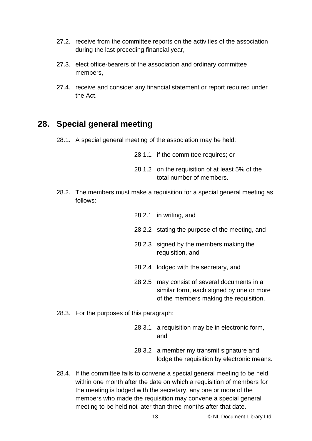- 27.2. receive from the committee reports on the activities of the association during the last preceding financial year,
- 27.3. elect office-bearers of the association and ordinary committee members,
- 27.4. receive and consider any financial statement or report required under the Act.

#### **28. Special general meeting**

- 28.1. A special general meeting of the association may be held:
	- 28.1.1 if the committee requires; or
	- 28.1.2 on the requisition of at least 5% of the total number of members.
- 28.2. The members must make a requisition for a special general meeting as follows:
	- 28.2.1 in writing, and
	- 28.2.2 stating the purpose of the meeting, and
	- 28.2.3 signed by the members making the requisition, and
	- 28.2.4 lodged with the secretary, and
	- 28.2.5 may consist of several documents in a similar form, each signed by one or more of the members making the requisition.
- 28.3. For the purposes of this paragraph:
	- 28.3.1 a requisition may be in electronic form, and
	- 28.3.2 a member my transmit signature and lodge the requisition by electronic means.
- 28.4. If the committee fails to convene a special general meeting to be held within one month after the date on which a requisition of members for the meeting is lodged with the secretary, any one or more of the members who made the requisition may convene a special general meeting to be held not later than three months after that date.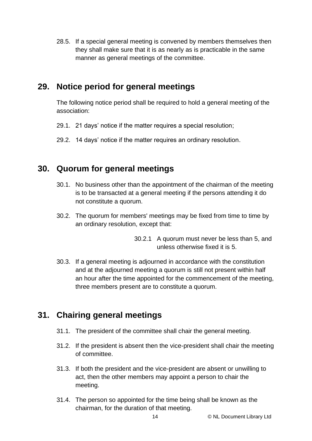28.5. If a special general meeting is convened by members themselves then they shall make sure that it is as nearly as is practicable in the same manner as general meetings of the committee.

## **29. Notice period for general meetings**

The following notice period shall be required to hold a general meeting of the association:

- 29.1. 21 days' notice if the matter requires a special resolution;
- 29.2. 14 days' notice if the matter requires an ordinary resolution.

#### **30. Quorum for general meetings**

- 30.1. No business other than the appointment of the chairman of the meeting is to be transacted at a general meeting if the persons attending it do not constitute a quorum.
- 30.2. The quorum for members' meetings may be fixed from time to time by an ordinary resolution, except that:
	- 30.2.1 A quorum must never be less than 5, and unless otherwise fixed it is 5.
- 30.3. If a general meeting is adjourned in accordance with the constitution and at the adjourned meeting a quorum is still not present within half an hour after the time appointed for the commencement of the meeting, three members present are to constitute a quorum.

# **31. Chairing general meetings**

- 31.1. The president of the committee shall chair the general meeting.
- 31.2. If the president is absent then the vice-president shall chair the meeting of committee.
- 31.3. If both the president and the vice-president are absent or unwilling to act, then the other members may appoint a person to chair the meeting.
- 31.4. The person so appointed for the time being shall be known as the chairman, for the duration of that meeting.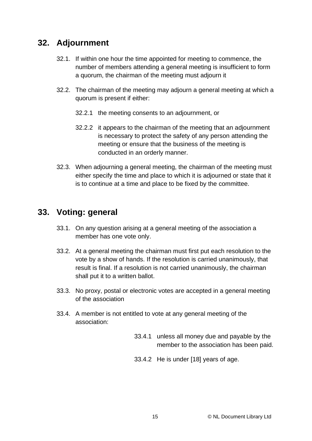# **32. Adjournment**

- 32.1. If within one hour the time appointed for meeting to commence, the number of members attending a general meeting is insufficient to form a quorum, the chairman of the meeting must adjourn it
- 32.2. The chairman of the meeting may adjourn a general meeting at which a quorum is present if either:
	- 32.2.1 the meeting consents to an adjournment, or
	- 32.2.2 it appears to the chairman of the meeting that an adjournment is necessary to protect the safety of any person attending the meeting or ensure that the business of the meeting is conducted in an orderly manner.
- 32.3. When adjourning a general meeting, the chairman of the meeting must either specify the time and place to which it is adjourned or state that it is to continue at a time and place to be fixed by the committee.

## **33. Voting: general**

- 33.1. On any question arising at a general meeting of the association a member has one vote only.
- 33.2. At a general meeting the chairman must first put each resolution to the vote by a show of hands. If the resolution is carried unanimously, that result is final. If a resolution is not carried unanimously, the chairman shall put it to a written ballot.
- 33.3. No proxy, postal or electronic votes are accepted in a general meeting of the association
- 33.4. A member is not entitled to vote at any general meeting of the association:
	- 33.4.1 unless all money due and payable by the member to the association has been paid.
	- 33.4.2 He is under [18] years of age.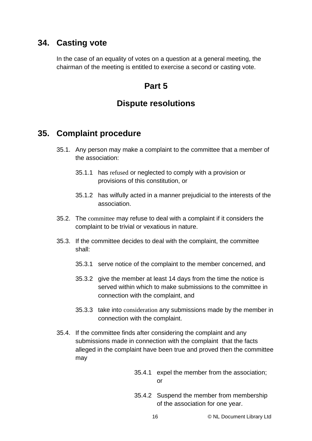#### **34. Casting vote**

In the case of an equality of votes on a question at a general meeting, the chairman of the meeting is entitled to exercise a second or casting vote.

#### **Part 5**

#### **Dispute resolutions**

#### **35. Complaint procedure**

- 35.1. Any person may make a complaint to the committee that a member of the association:
	- 35.1.1 has refused or neglected to comply with a provision or provisions of this constitution, or
	- 35.1.2 has wilfully acted in a manner prejudicial to the interests of the association.
- 35.2. The committee may refuse to deal with a complaint if it considers the complaint to be trivial or vexatious in nature.
- 35.3. If the committee decides to deal with the complaint, the committee shall:
	- 35.3.1 serve notice of the complaint to the member concerned, and
	- 35.3.2 give the member at least 14 days from the time the notice is served within which to make submissions to the committee in connection with the complaint, and
	- 35.3.3 take into consideration any submissions made by the member in connection with the complaint.
- 35.4. If the committee finds after considering the complaint and any submissions made in connection with the complaint that the facts alleged in the complaint have been true and proved then the committee may

35.4.1 expel the member from the association; or

35.4.2 Suspend the member from membership of the association for one year.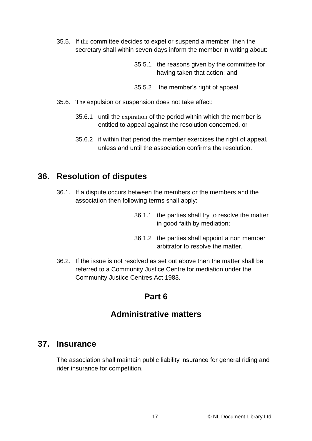- 35.5. If the committee decides to expel or suspend a member, then the secretary shall within seven days inform the member in writing about:
	- 35.5.1 the reasons given by the committee for having taken that action; and
	- 35.5.2 the member's right of appeal
- 35.6. The expulsion or suspension does not take effect:
	- 35.6.1 until the expiration of the period within which the member is entitled to appeal against the resolution concerned, or
	- 35.6.2 if within that period the member exercises the right of appeal, unless and until the association confirms the resolution.

#### **36. Resolution of disputes**

- 36.1. If a dispute occurs between the members or the members and the association then following terms shall apply:
	- 36.1.1 the parties shall try to resolve the matter in good faith by mediation;
	- 36.1.2 the parties shall appoint a non member arbitrator to resolve the matter.
- 36.2. If the issue is not resolved as set out above then the matter shall be referred to a Community Justice Centre for mediation under the Community Justice Centres Act 1983.

# **Part 6**

### **Administrative matters**

#### **37. Insurance**

The association shall maintain public liability insurance for general riding and rider insurance for competition.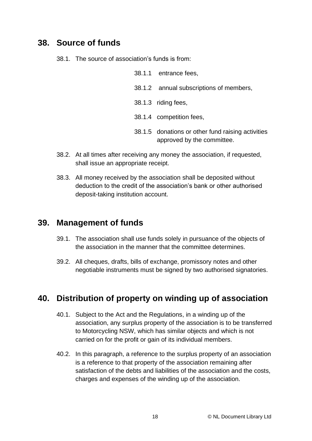#### **38. Source of funds**

38.1. The source of association's funds is from:

| 38.1.1 entrance fees,                                                           |
|---------------------------------------------------------------------------------|
| 38.1.2 annual subscriptions of members,                                         |
| 38.1.3 riding fees,                                                             |
| 38.1.4 competition fees,                                                        |
| 38.1.5 donations or other fund raising activities<br>approved by the committee. |

- 38.2. At all times after receiving any money the association, if requested, shall issue an appropriate receipt.
- 38.3. All money received by the association shall be deposited without deduction to the credit of the association's bank or other authorised deposit-taking institution account.

#### **39. Management of funds**

- 39.1. The association shall use funds solely in pursuance of the objects of the association in the manner that the committee determines.
- 39.2. All cheques, drafts, bills of exchange, promissory notes and other negotiable instruments must be signed by two authorised signatories.

### **40. Distribution of property on winding up of association**

- 40.1. Subject to the Act and the Regulations, in a winding up of the association, any surplus property of the association is to be transferred to Motorcycling NSW, which has similar objects and which is not carried on for the profit or gain of its individual members.
- 40.2. In this paragraph, a reference to the surplus property of an association is a reference to that property of the association remaining after satisfaction of the debts and liabilities of the association and the costs, charges and expenses of the winding up of the association.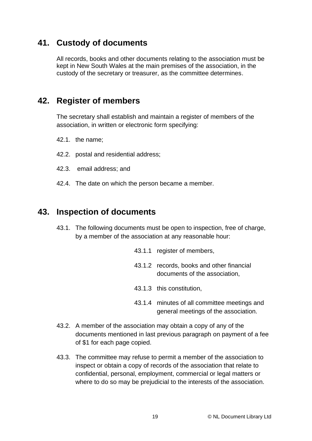#### **41. Custody of documents**

All records, books and other documents relating to the association must be kept in New South Wales at the main premises of the association, in the custody of the secretary or treasurer, as the committee determines.

### **42. Register of members**

The secretary shall establish and maintain a register of members of the association, in written or electronic form specifying:

- 42.1. the name;
- 42.2. postal and residential address;
- 42.3. email address; and
- 42.4. The date on which the person became a member.

#### **43. Inspection of documents**

- 43.1. The following documents must be open to inspection, free of charge, by a member of the association at any reasonable hour:
	- 43.1.1 register of members,
	- 43.1.2 records, books and other financial documents of the association,
	- 43.1.3 this constitution,
	- 43.1.4 minutes of all committee meetings and general meetings of the association.
- 43.2. A member of the association may obtain a copy of any of the documents mentioned in last previous paragraph on payment of a fee of \$1 for each page copied.
- 43.3. The committee may refuse to permit a member of the association to inspect or obtain a copy of records of the association that relate to confidential, personal, employment, commercial or legal matters or where to do so may be prejudicial to the interests of the association.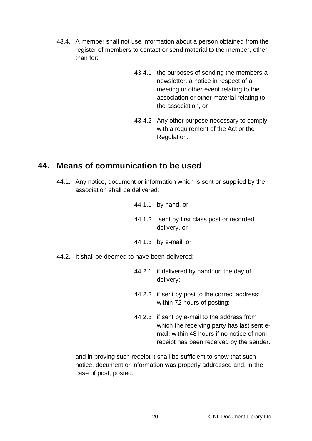- 43.4. A member shall not use information about a person obtained from the register of members to contact or send material to the member, other than for:
	- 43.4.1 the purposes of sending the members a newsletter, a notice in respect of a meeting or other event relating to the association or other material relating to the association, or
	- 43.4.2 Any other purpose necessary to comply with a requirement of the Act or the Regulation.

## **44. Means of communication to be used**

44.1. Any notice, document or information which is sent or supplied by the association shall be delivered:

44.1.1 by hand, or

44.1.2 sent by first class post or recorded delivery, or

- 44.1.3 by e-mail, or
- 44.2. It shall be deemed to have been delivered:
	- 44.2.1 if delivered by hand: on the day of delivery;
	- 44.2.2 if sent by post to the correct address: within 72 hours of posting;
	- 44.2.3 if sent by e-mail to the address from which the receiving party has last sent email: within 48 hours if no notice of nonreceipt has been received by the sender.

and in proving such receipt it shall be sufficient to show that such notice, document or information was properly addressed and, in the case of post, posted.